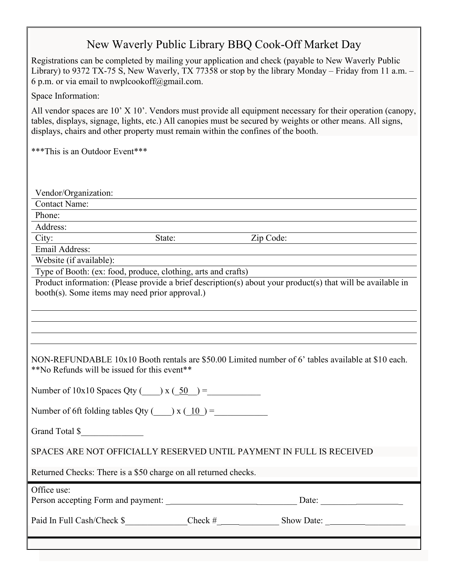## New Waverly Public Library BBQ Cook-Off Market Day

Registrations can be completed by mailing your application and check (payable to New Waverly Public Library) to 9372 TX-75 S, New Waverly, TX 77358 or stop by the library Monday – Friday from 11 a.m. – 6 p.m. or via email to nwplcookoff@gmail.com.

Space Information:

All vendor spaces are 10' X 10'. Vendors must provide all equipment necessary for their operation (canopy, tables, displays, signage, lights, etc.) All canopies must be secured by weights or other means. All signs, displays, chairs and other property must remain within the confines of the booth.

\*\*\*This is an Outdoor Event\*\*\*

| Vendor/Organization:                                                                                                                                          |        |            |            |  |
|---------------------------------------------------------------------------------------------------------------------------------------------------------------|--------|------------|------------|--|
| <b>Contact Name:</b>                                                                                                                                          |        |            |            |  |
| Phone:                                                                                                                                                        |        |            |            |  |
| Address:                                                                                                                                                      |        |            |            |  |
| City:                                                                                                                                                         | State: |            | Zip Code:  |  |
| Email Address:                                                                                                                                                |        |            |            |  |
| Website (if available):                                                                                                                                       |        |            |            |  |
| Type of Booth: (ex: food, produce, clothing, arts and crafts)                                                                                                 |        |            |            |  |
| Product information: (Please provide a brief description(s) about your product(s) that will be available in<br>booth(s). Some items may need prior approval.) |        |            |            |  |
|                                                                                                                                                               |        |            |            |  |
| NON-REFUNDABLE 10x10 Booth rentals are \$50.00 Limited number of 6' tables available at \$10 each.<br>**No Refunds will be issued for this event**            |        |            |            |  |
| Number of $10x10$ Spaces Qty ( $\qquad x \left( \underline{50} \right) =$                                                                                     |        |            |            |  |
| Number of 6ft folding tables Qty $\qquad) x \left( \underline{10} \right) =$                                                                                  |        |            |            |  |
| Grand Total \$                                                                                                                                                |        |            |            |  |
| SPACES ARE NOT OFFICIALLY RESERVED UNTIL PAYMENT IN FULL IS RECEIVED                                                                                          |        |            |            |  |
| Returned Checks: There is a \$50 charge on all returned checks.                                                                                               |        |            |            |  |
| Office use:                                                                                                                                                   |        |            |            |  |
| Paid In Full Cash/Check \$                                                                                                                                    |        | $Check \#$ | Show Date: |  |
|                                                                                                                                                               |        |            |            |  |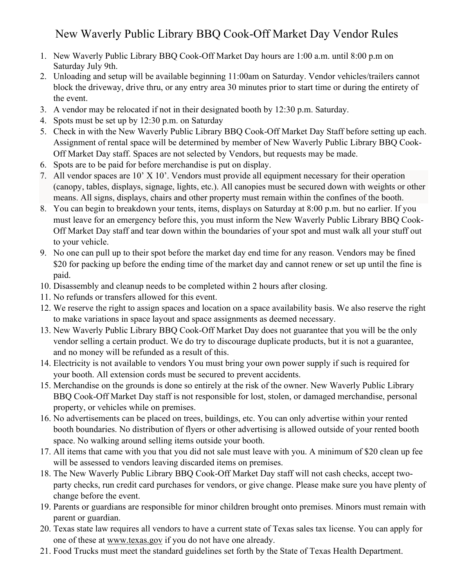## New Waverly Public Library BBQ Cook-Off Market Day Vendor Rules

- 1. New Waverly Public Library BBQ Cook-Off Market Day hours are 1:00 a.m. until 8:00 p.m on Saturday July 9th.
- 2. Unloading and setup will be available beginning 11:00am on Saturday. Vendor vehicles/trailers cannot block the driveway, drive thru, or any entry area 30 minutes prior to start time or during the entirety of the event.
- 3. A vendor may be relocated if not in their designated booth by 12:30 p.m. Saturday.
- 4. Spots must be set up by 12:30 p.m. on Saturday
- 5. Check in with the New Waverly Public Library BBQ Cook-Off Market Day Staff before setting up each. Assignment of rental space will be determined by member of New Waverly Public Library BBQ Cook-Off Market Day staff. Spaces are not selected by Vendors, but requests may be made.
- 6. Spots are to be paid for before merchandise is put on display.
- 7. All vendor spaces are 10' X 10'. Vendors must provide all equipment necessary for their operation (canopy, tables, displays, signage, lights, etc.). All canopies must be secured down with weights or other means. All signs, displays, chairs and other property must remain within the confines of the booth.
- 8. You can begin to breakdown your tents, items, displays on Saturday at 8:00 p.m. but no earlier. If you must leave for an emergency before this, you must inform the New Waverly Public Library BBQ Cook-Off Market Day staff and tear down within the boundaries of your spot and must walk all your stuff out to your vehicle.
- 9. No one can pull up to their spot before the market day end time for any reason. Vendors may be fined \$20 for packing up before the ending time of the market day and cannot renew or set up until the fine is paid.
- 10. Disassembly and cleanup needs to be completed within 2 hours after closing.
- 11. No refunds or transfers allowed for this event.
- 12. We reserve the right to assign spaces and location on a space availability basis. We also reserve the right to make variations in space layout and space assignments as deemed necessary.
- 13. New Waverly Public Library BBQ Cook-Off Market Day does not guarantee that you will be the only vendor selling a certain product. We do try to discourage duplicate products, but it is not a guarantee, and no money will be refunded as a result of this.
- 14. Electricity is not available to vendors You must bring your own power supply if such is required for your booth. All extension cords must be secured to prevent accidents.
- 15. Merchandise on the grounds is done so entirely at the risk of the owner. New Waverly Public Library BBQ Cook-Off Market Day staff is not responsible for lost, stolen, or damaged merchandise, personal property, or vehicles while on premises.
- 16. No advertisements can be placed on trees, buildings, etc. You can only advertise within your rented booth boundaries. No distribution of flyers or other advertising is allowed outside of your rented booth space. No walking around selling items outside your booth.
- 17. All items that came with you that you did not sale must leave with you. A minimum of \$20 clean up fee will be assessed to vendors leaving discarded items on premises.
- 18. The New Waverly Public Library BBQ Cook-Off Market Day staff will not cash checks, accept twoparty checks, run credit card purchases for vendors, or give change. Please make sure you have plenty of change before the event.
- 19. Parents or guardians are responsible for minor children brought onto premises. Minors must remain with parent or guardian.
- 20. Texas state law requires all vendors to have a current state of Texas sales tax license. You can apply for one of these at www.texas.gov if you do not have one already.
- 21. Food Trucks must meet the standard guidelines set forth by the State of Texas Health Department.